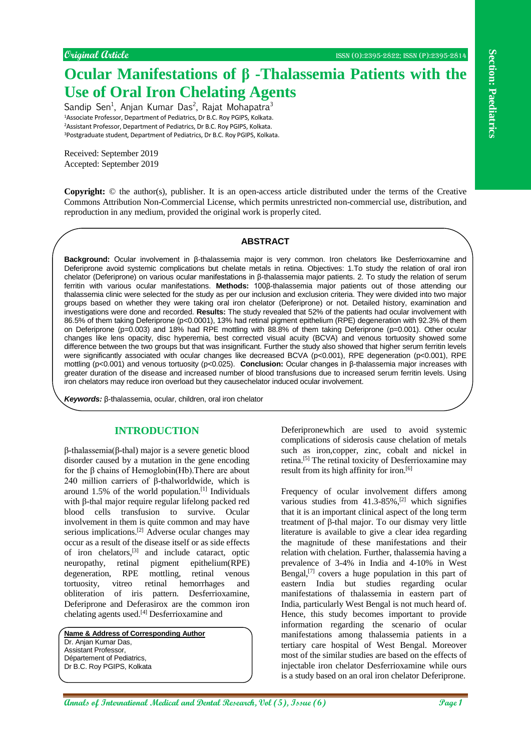## **Original Article** ISSN (O):2395-2822; ISSN (P):2395-2814

# **Ocular Manifestations of β -Thalassemia Patients with the Use of Oral Iron Chelating Agents**

Sandip Sen<sup>1</sup>, Anjan Kumar Das<sup>2</sup>, Rajat Mohapatra<sup>3</sup> Associate Professor, Department of Pediatrics, Dr B.C. Roy PGIPS, Kolkata. Assistant Professor, Department of Pediatrics, Dr B.C. Roy PGIPS, Kolkata. Postgraduate student, Department of Pediatrics, Dr B.C. Roy PGIPS, Kolkata.

Received: September 2019 Accepted: September 2019

**Copyright:** © the author(s), publisher. It is an open-access article distributed under the terms of the Creative Commons Attribution Non-Commercial License, which permits unrestricted non-commercial use, distribution, and reproduction in any medium, provided the original work is properly cited.

## **ABSTRACT**

**Ansaling the continent of the Continent Continued Ann and Continued Ann and Continued Ann and Continued Ann and Continued Ann and Continued Ann and Continued Ann and Continued Ann and Continued Ann and Continued Ann and Background:** Ocular involvement in β-thalassemia major is very common. Iron chelators like Desferrioxamine and Deferiprone avoid systemic complications but chelate metals in retina. Objectives: 1.To study the relation of oral iron chelator (Deferiprone) on various ocular manifestations in β-thalassemia major patients. 2. To study the relation of serum ferritin with various ocular manifestations. **Methods:** 100β-thalassemia major patients out of those attending our thalassemia clinic were selected for the study as per our inclusion and exclusion criteria. They were divided into two major groups based on whether they were taking oral iron chelator (Deferiprone) or not. Detailed history, examination and investigations were done and recorded. **Results:** The study revealed that 52% of the patients had ocular involvement with 86.5% of them taking Deferiprone (p<0.0001), 13% had retinal pigment epithelium (RPE) degeneration with 92.3% of them on Deferiprone (p=0.003) and 18% had RPE mottling with 88.8% of them taking Deferiprone (p=0.001). Other ocular changes like lens opacity, disc hyperemia, best corrected visual acuity (BCVA) and venous tortuosity showed some difference between the two groups but that was insignificant. Further the study also showed that higher serum ferritin levels were significantly associated with ocular changes like decreased BCVA (p<0.001), RPE degeneration (p<0.001), RPE mottling (p<0.001) and venous tortuosity (p<0.025). **Conclusion:** Ocular changes in β-thalassemia major increases with greater duration of the disease and increased number of blood transfusions due to increased serum ferritin levels. Using iron chelators may reduce iron overload but they causechelator induced ocular involvement.

*Keywords:* β-thalassemia, ocular, children, oral iron chelator

## **INTRODUCTION**

β-thalassemia(β-thal) major is a severe genetic blood disorder caused by a mutation in the gene encoding for the β chains of Hemoglobin(Hb).There are about 240 million carriers of β-thalworldwide, which is around 1.5% of the world population.[1] Individuals with β-thal major require regular lifelong packed red blood cells transfusion to survive. Ocular involvement in them is quite common and may have serious implications.[2] Adverse ocular changes may occur as a result of the disease itself or as side effects of iron chelators,[3] and include cataract, optic neuropathy, retinal pigment epithelium(RPE) degeneration, RPE mottling, retinal venous tortuosity, vitreo retinal hemorrhages and obliteration of iris pattern. Desferrioxamine, Deferiprone and Deferasirox are the common iron chelating agents used.[4] Desferrioxamine and

**Name & Address of Corresponding Author** Dr. Anjan Kumar Das, Assistant Professor, Département of Pediatrics, Dr B.C. Roy PGIPS, Kolkata

Deferipronewhich are used to avoid systemic complications of siderosis cause chelation of metals such as iron,copper, zinc, cobalt and nickel in retina.[5] The retinal toxicity of Desferrioxamine may result from its high affinity for iron.<sup>[6]</sup>

Frequency of ocular involvement differs among various studies from  $41.3-85\%$ ,<sup>[2]</sup> which signifies that it is an important clinical aspect of the long term treatment of β-thal major. To our dismay very little literature is available to give a clear idea regarding the magnitude of these manifestations and their relation with chelation. Further, thalassemia having a prevalence of 3-4% in India and 4-10% in West Bengal, $[7]$  covers a huge population in this part of eastern India but studies regarding ocular manifestations of thalassemia in eastern part of India, particularly West Bengal is not much heard of. Hence, this study becomes important to provide information regarding the scenario of ocular manifestations among thalassemia patients in a tertiary care hospital of West Bengal. Moreover most of the similar studies are based on the effects of injectable iron chelator Desferrioxamine while ours is a study based on an oral iron chelator Deferiprone.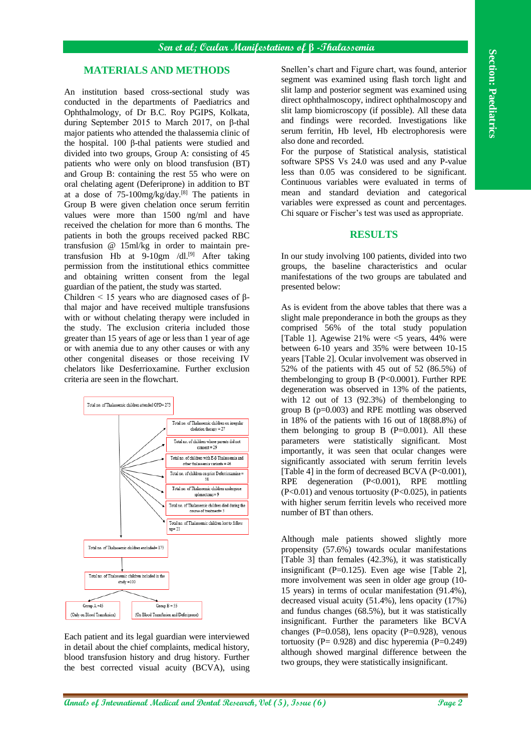## **MATERIALS AND METHODS**

An institution based cross-sectional study was conducted in the departments of Paediatrics and Ophthalmology, of Dr B.C. Roy PGIPS, Kolkata, during September 2015 to March 2017, on β-thal major patients who attended the thalassemia clinic of the hospital. 100 β-thal patients were studied and divided into two groups, Group A: consisting of 45 patients who were only on blood transfusion (BT) and Group B: containing the rest 55 who were on oral chelating agent (Deferiprone) in addition to BT at a dose of 75-100mg/kg/day.[8] The patients in Group B were given chelation once serum ferritin values were more than 1500 ng/ml and have received the chelation for more than 6 months. The patients in both the groups received packed RBC transfusion @ 15ml/kg in order to maintain pretransfusion Hb at  $9-10gm$  /dl.<sup>[9]</sup> After taking permission from the institutional ethics committee and obtaining written consent from the legal guardian of the patient, the study was started.

Children  $\leq$  15 years who are diagnosed cases of βthal major and have received multiple transfusions with or without chelating therapy were included in the study. The exclusion criteria included those greater than 15 years of age or less than 1 year of age or with anemia due to any other causes or with any other congenital diseases or those receiving IV chelators like Desferrioxamine. Further exclusion criteria are seen in the flowchart.



Each patient and its legal guardian were interviewed in detail about the chief complaints, medical history, blood transfusion history and drug history. Further the best corrected visual acuity (BCVA), using Snellen's chart and Figure chart, was found, anterior segment was examined using flash torch light and slit lamp and posterior segment was examined using direct ophthalmoscopy, indirect ophthalmoscopy and slit lamp biomicroscopy (if possible). All these data and findings were recorded. Investigations like serum ferritin, Hb level, Hb electrophoresis were also done and recorded.

For the purpose of Statistical analysis, statistical software SPSS Vs 24.0 was used and any P-value less than 0.05 was considered to be significant. Continuous variables were evaluated in terms of mean and standard deviation and categorical variables were expressed as count and percentages. Chi square or Fischer's test was used as appropriate.

#### **RESULTS**

In our study involving 100 patients, divided into two groups, the baseline characteristics and ocular manifestations of the two groups are tabulated and presented below:

As is evident from the above tables that there was a slight male preponderance in both the groups as they comprised 56% of the total study population [Table 1]. Agewise 21% were <5 years, 44% were between 6-10 years and 35% were between 10-15 years [Table 2]. Ocular involvement was observed in 52% of the patients with 45 out of 52 (86.5%) of thembelonging to group B (P<0.0001). Further RPE degeneration was observed in 13% of the patients, with 12 out of 13 (92.3%) of thembelonging to group B (p=0.003) and RPE mottling was observed in 18% of the patients with 16 out of 18(88.8%) of them belonging to group  $\overline{B}$  (P=0.001). All these parameters were statistically significant. Most importantly, it was seen that ocular changes were significantly associated with serum ferritin levels [Table 4] in the form of decreased BCVA (P<0.001), RPE degeneration (P<0.001), RPE mottling (P<0.01) and venous tortuosity (P<0.025), in patients with higher serum ferritin levels who received more number of BT than others.

Although male patients showed slightly more propensity (57.6%) towards ocular manifestations [Table 3] than females (42.3%), it was statistically insignificant (P=0.125). Even age wise [Table 2], more involvement was seen in older age group (10- 15 years) in terms of ocular manifestation (91.4%), decreased visual acuity (51.4%), lens opacity (17%) and fundus changes (68.5%), but it was statistically insignificant. Further the parameters like BCVA changes ( $P=0.058$ ), lens opacity ( $P=0.928$ ), venous tortuosity ( $P = 0.928$ ) and disc hyperemia ( $P = 0.249$ ) although showed marginal difference between the two groups, they were statistically insignificant.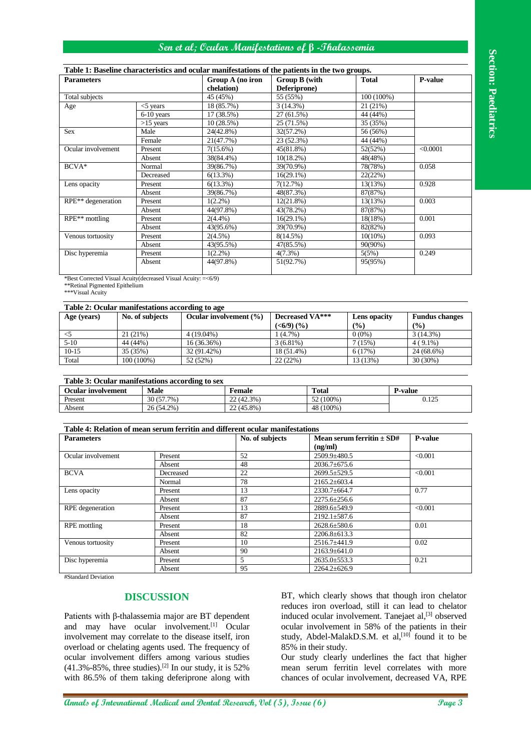## **Sen et al; Ocular Manifestations of β -Thalassemia**

#### **Table 1: Baseline characteristics and ocular manifestations of the patients in the two groups.**

| <b>Parameters</b>                                                                                                                                                                                                                                                                                                           |                       |                           |              | $\overline{\mathrm{Group}\,A}$ (no iron |                                           | Table 1: Baseline characteristics and ocular manifestations of the patients in the two groups.<br><b>Group B</b> (with |                                    | <b>Total</b>                  |                | P-value               |
|-----------------------------------------------------------------------------------------------------------------------------------------------------------------------------------------------------------------------------------------------------------------------------------------------------------------------------|-----------------------|---------------------------|--------------|-----------------------------------------|-------------------------------------------|------------------------------------------------------------------------------------------------------------------------|------------------------------------|-------------------------------|----------------|-----------------------|
|                                                                                                                                                                                                                                                                                                                             |                       |                           |              | chelation)                              |                                           |                                                                                                                        | Deferiprone)                       |                               |                |                       |
| Total subjects                                                                                                                                                                                                                                                                                                              |                       |                           | 45 (45%)     |                                         | 55 (55%)                                  |                                                                                                                        | 100 (100%)                         |                               |                |                       |
| Age                                                                                                                                                                                                                                                                                                                         |                       | $<$ 5 years               |              | 18 (85.7%)                              |                                           | 3(14.3%)                                                                                                               |                                    | 21 (21%)                      |                |                       |
|                                                                                                                                                                                                                                                                                                                             |                       | 6-10 years<br>$>15$ years |              | 17 (38.5%)<br>10 (28.5%)                |                                           | 27 (61.5%)<br>25 (71.5%)                                                                                               |                                    | 44 (44%)<br>35 (35%)          |                |                       |
| <b>Sex</b>                                                                                                                                                                                                                                                                                                                  |                       | Male                      |              | 24(42.8%)                               |                                           | 32(57.2%)                                                                                                              |                                    | 56 (56%)                      |                |                       |
|                                                                                                                                                                                                                                                                                                                             |                       | Female                    |              | 21(47.7%)                               |                                           | 23 (52.3%)                                                                                                             |                                    | 44 (44%)                      |                |                       |
| Ocular involvement                                                                                                                                                                                                                                                                                                          |                       | Present<br>Absent         |              | 7(15.6%)<br>38(84.4%)                   |                                           | 45(81.8%)                                                                                                              | 52(52%)                            |                               |                | < 0.0001              |
|                                                                                                                                                                                                                                                                                                                             |                       |                           |              |                                         |                                           | 10(18.2%)                                                                                                              |                                    | 48(48%)                       |                |                       |
| $BCVA*$                                                                                                                                                                                                                                                                                                                     |                       | Normal                    |              | 39(86.7%)                               | 39(70.9%)                                 |                                                                                                                        |                                    | 78(78%)<br>0.058              |                |                       |
|                                                                                                                                                                                                                                                                                                                             |                       | Decreased                 |              | 6(13.3%)                                |                                           | $16(29.1\%)$                                                                                                           |                                    | 22(22%)                       | 0.928          |                       |
| Lens opacity                                                                                                                                                                                                                                                                                                                |                       | Present<br>Absent         |              | 6(13.3%)<br>39(86.7%)                   |                                           | 7(12.7%)<br>48(87.3%)                                                                                                  |                                    | 13(13%)<br>87(87%)            |                |                       |
| RPE** degeneration                                                                                                                                                                                                                                                                                                          |                       | Present                   |              | $1(2.2\%)$                              |                                           | 12(21.8%)                                                                                                              |                                    | 13(13%)                       | 0.003          |                       |
|                                                                                                                                                                                                                                                                                                                             |                       | Absent                    |              | 44(97.8%)                               |                                           | 43(78.2%)                                                                                                              |                                    | 87(87%)                       |                |                       |
| RPE <sup>**</sup> mottling                                                                                                                                                                                                                                                                                                  |                       | Present                   |              | $2(4.4\%)$                              |                                           | $16(29.1\%)$                                                                                                           |                                    | 18(18%)                       |                | 0.001                 |
|                                                                                                                                                                                                                                                                                                                             |                       | Absent                    |              | 43(95.6%)                               |                                           | 39(70.9%)                                                                                                              |                                    | 82(82%)                       |                |                       |
| Venous tortuosity                                                                                                                                                                                                                                                                                                           |                       | Present                   |              | $2(4.5\%)$                              |                                           | 8(14.5%)                                                                                                               |                                    | $10(10\%)$                    |                | 0.093                 |
| Disc hyperemia                                                                                                                                                                                                                                                                                                              |                       | Absent<br>Present         |              | 43(95.5%)<br>$1(2.2\%)$                 |                                           | 47(85.5%)<br>$4(7.3\%)$                                                                                                |                                    | 90(90%)<br>5(5%)              |                | 0.249                 |
|                                                                                                                                                                                                                                                                                                                             |                       | Absent                    |              | 44(97.8%)                               |                                           | 51(92.7%)                                                                                                              |                                    | 95(95%)                       |                |                       |
|                                                                                                                                                                                                                                                                                                                             |                       |                           |              |                                         |                                           |                                                                                                                        |                                    |                               |                |                       |
| *Best Corrected Visual Acuity (decreased Visual Acuity: = < 6/9)<br>**Retinal Pigmented Epithelium<br>***Visual Acuity<br>Table 2: Ocular manifestations according to age                                                                                                                                                   |                       |                           |              |                                         |                                           |                                                                                                                        |                                    |                               |                |                       |
| Age (years)                                                                                                                                                                                                                                                                                                                 | No. of subjects       |                           |              | Ocular involvement (%)                  |                                           | Decreased VA***                                                                                                        |                                    | Lens opacity                  |                | <b>Fundus</b> changes |
|                                                                                                                                                                                                                                                                                                                             |                       |                           |              |                                         |                                           | ( <b>6/9</b> ) ( <b>%</b> )                                                                                            |                                    | (%)                           | (%)            |                       |
| $<$ 5                                                                                                                                                                                                                                                                                                                       | 21 (21%)              |                           | $4(19.04\%)$ |                                         |                                           | $1(4.7\%)$                                                                                                             |                                    | $0(0\%)$                      |                | 3(14.3%)              |
| $5-10$                                                                                                                                                                                                                                                                                                                      | 44 (44%)              |                           |              | 16 (36.36%)                             |                                           | $3(6.81\%)$                                                                                                            |                                    | 7(15%)                        |                | $4(9.1\%)$            |
| $10 - 15$<br>35 (35%)                                                                                                                                                                                                                                                                                                       |                       |                           |              | 32 (91.42%)                             |                                           | 18 (51.4%)                                                                                                             |                                    | 6(17%)                        |                | 24 (68.6%)            |
|                                                                                                                                                                                                                                                                                                                             | $100(100\%)$<br>Total |                           |              | 52 (52%)                                |                                           | 22 (22%)<br>13 (13%)                                                                                                   |                                    |                               |                |                       |
|                                                                                                                                                                                                                                                                                                                             |                       |                           |              |                                         |                                           |                                                                                                                        |                                    |                               |                | 30 (30%)              |
|                                                                                                                                                                                                                                                                                                                             |                       | <b>Male</b><br>30 (57.7%) |              |                                         | <b>Female</b><br>22 (42.3%)<br>22 (45.8%) |                                                                                                                        | <b>Total</b><br>52 (100%)          |                               | <b>P-value</b> | 0.125                 |
|                                                                                                                                                                                                                                                                                                                             |                       | 26 (54.2%)                |              |                                         |                                           |                                                                                                                        | 48 (100%)                          |                               |                |                       |
|                                                                                                                                                                                                                                                                                                                             |                       |                           |              |                                         |                                           |                                                                                                                        |                                    |                               |                |                       |
|                                                                                                                                                                                                                                                                                                                             |                       |                           |              |                                         | No. of subjects                           |                                                                                                                        |                                    | Mean serum ferritin $\pm$ SD# |                | <b>P-value</b>        |
|                                                                                                                                                                                                                                                                                                                             |                       |                           |              |                                         |                                           |                                                                                                                        | (ng/ml)                            |                               |                |                       |
|                                                                                                                                                                                                                                                                                                                             |                       | Present                   |              |                                         | 52                                        |                                                                                                                        | 2509.9±480.5                       |                               |                | < 0.001               |
|                                                                                                                                                                                                                                                                                                                             |                       | Absent                    |              |                                         | 48                                        |                                                                                                                        | $2036.7 \pm 675.6$                 |                               |                |                       |
|                                                                                                                                                                                                                                                                                                                             |                       | Decreased                 |              |                                         | 22                                        |                                                                                                                        | 2699.5±529.5                       |                               |                | < 0.001               |
|                                                                                                                                                                                                                                                                                                                             |                       | Normal                    |              |                                         | 78                                        |                                                                                                                        | 2165.2±603.4                       |                               |                |                       |
|                                                                                                                                                                                                                                                                                                                             |                       | Present                   |              |                                         | 13                                        |                                                                                                                        | 2330.7±664.7                       |                               |                | 0.77                  |
|                                                                                                                                                                                                                                                                                                                             |                       | Absent<br>Present         |              |                                         | 87<br>13                                  |                                                                                                                        | 2275.6±256.6                       |                               |                | < 0.001               |
|                                                                                                                                                                                                                                                                                                                             |                       | Absent                    |              |                                         | 87                                        |                                                                                                                        | 2889.6±549.9<br>$2192.1 \pm 587.6$ |                               |                |                       |
|                                                                                                                                                                                                                                                                                                                             |                       | Present                   |              |                                         | 18                                        |                                                                                                                        | 2628.6±580.6                       |                               | 0.01           |                       |
|                                                                                                                                                                                                                                                                                                                             |                       | Absent                    |              |                                         | 82                                        |                                                                                                                        | 2206.8±613.3                       |                               |                |                       |
| Table 3: Ocular manifestations according to sex<br><b>Ocular involvement</b><br>Present<br>Absent<br>Table 4: Relation of mean serum ferritin and different ocular manifestations<br><b>Parameters</b><br>Ocular involvement<br><b>BCVA</b><br>Lens opacity<br>RPE degeneration<br><b>RPE</b> mottling<br>Venous tortuosity |                       | Present                   |              |                                         | 10                                        |                                                                                                                        | 2516.7±441.9                       |                               |                | 0.02                  |
|                                                                                                                                                                                                                                                                                                                             |                       | Absent                    |              |                                         | 90                                        |                                                                                                                        | 2163.9±641.0                       |                               |                |                       |
| Disc hyperemia                                                                                                                                                                                                                                                                                                              |                       | Present<br>Absent         |              |                                         | 5<br>95                                   |                                                                                                                        | 2635.0±553.3<br>2264.2±626.9       |                               |                | 0.21                  |

## **Table 2: Ocular manifestations according to age**

| Tuole 41 Ocumi mumicounono uccorum, to ule |                 |                            |                             |              |                       |  |
|--------------------------------------------|-----------------|----------------------------|-----------------------------|--------------|-----------------------|--|
| Age (years)                                | No. of subjects | Ocular involvement $(\% )$ | Decreased VA***             | Lens opacity | <b>Fundus changes</b> |  |
|                                            |                 |                            | ( <b>6/9</b> ) ( <b>%</b> ) | (%)          | $($ %)                |  |
|                                            | 21(21%)         | $4(19.04\%)$               | $(4.7\%)$                   | $0(0\%)$     | 3(14.3%)              |  |
| $5-10$                                     | 44 (44%)        | $16(36.36\%)$              | $3(6.81\%)$                 | (15%)        | $4(9.1\%)$            |  |
| $10-15$                                    | 35 (35%)        | 32 (91.42%)                | 18 (51.4%)                  | 6(17%)       | 24 (68.6%)            |  |
| Total                                      | 100 (100%)      | 52(52%)                    | 22(22%)                     | 13 (13%)     | 30 (30%)              |  |

| Table 3: Ocular manifestations according to sex |            |            |              |                |  |  |
|-------------------------------------------------|------------|------------|--------------|----------------|--|--|
| <b>Ocular involvement</b>                       | Male       | Female     | <b>Total</b> | <b>P-value</b> |  |  |
| Present                                         | 30 (57.7%) | 22 (42.3%) | 52 (100%)    | 0.125          |  |  |
| Absent                                          | 26 (54.2%) | 22 (45.8%) | 48 (100%)    |                |  |  |

| Table 4: Relation of mean serum ferritin and different ocular manifestations |           |                 |                                          |                |  |  |
|------------------------------------------------------------------------------|-----------|-----------------|------------------------------------------|----------------|--|--|
| <b>Parameters</b>                                                            |           | No. of subjects | Mean serum ferritin $\pm$ SD#<br>(ng/ml) | <b>P-value</b> |  |  |
| Ocular involvement                                                           | Present   | 52              | $2509.9 + 480.5$                         | < 0.001        |  |  |
|                                                                              | Absent    | 48              | $2036.7 \pm 675.6$                       |                |  |  |
| <b>BCVA</b>                                                                  | Decreased | 22              | $2699.5 + 529.5$                         | < 0.001        |  |  |
|                                                                              | Normal    | 78              | $2165.2 \pm 603.4$                       |                |  |  |
| Lens opacity                                                                 | Present   | 13              | $2330.7 \pm 664.7$                       | 0.77           |  |  |
|                                                                              | Absent    | 87              | $2275.6 \pm 256.6$                       |                |  |  |
| RPE degeneration                                                             | Present   | 13              | 2889.6±549.9                             | < 0.001        |  |  |
|                                                                              | Absent    | 87              | $2192.1 \pm 587.6$                       |                |  |  |
| RPE mottling                                                                 | Present   | 18              | $2628.6 \pm 580.6$                       | 0.01           |  |  |
|                                                                              | Absent    | 82              | $2206.8 \pm 613.3$                       |                |  |  |
| Venous tortuosity                                                            | Present   | 10              | 2516.7±441.9                             | 0.02           |  |  |
|                                                                              | Absent    | 90              | $2163.9 \pm 641.0$                       |                |  |  |
| Disc hyperemia                                                               | Present   | 5               | $2635.0 \pm 553.3$                       | 0.21           |  |  |
|                                                                              | Absent    | 95              | $2264.2 \pm 626.9$                       |                |  |  |

## **DISCUSSION**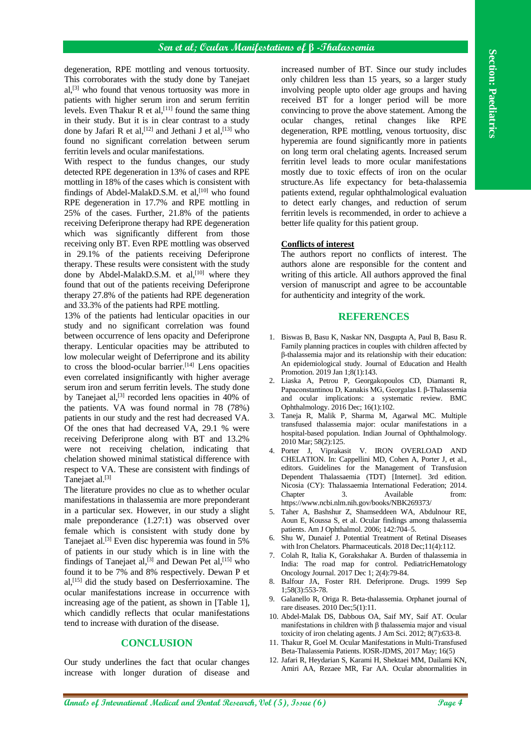degeneration, RPE mottling and venous tortuosity. This corroborates with the study done by Tanejaet al, [3] who found that venous tortuosity was more in patients with higher serum iron and serum ferritin levels. Even Thakur R et al,  $[11]$  found the same thing in their study. But it is in clear contrast to a study done by Jafari R et al,  $[12]$  and Jethani J et al,  $[13]$  who found no significant correlation between serum ferritin levels and ocular manifestations.

With respect to the fundus changes, our study detected RPE degeneration in 13% of cases and RPE mottling in 18% of the cases which is consistent with findings of Abdel-MalakD.S.M. et al.<sup>[10]</sup> who found RPE degeneration in 17.7% and RPE mottling in 25% of the cases. Further, 21.8% of the patients receiving Deferiprone therapy had RPE degeneration which was significantly different from those receiving only BT. Even RPE mottling was observed in 29.1% of the patients receiving Deferiprone therapy. These results were consistent with the study done by Abdel-MalakD.S.M. et al,<sup>[10]</sup> where they found that out of the patients receiving Deferiprone therapy 27.8% of the patients had RPE degeneration and 33.3% of the patients had RPE mottling.

**Asymmetries An anti-model and the effective state of the effective of**  $\frac{1}{2}$  **and**  $\frac{1}{2}$  **and**  $\frac{1}{2}$  **and**  $\frac{1}{2}$  **and**  $\frac{1}{2}$  **and**  $\frac{1}{2}$  **and**  $\frac{1}{2}$  **and**  $\frac{1}{2}$  **and**  $\frac{1}{2}$  **and**  $\frac{1}{2}$  **and \frac{1}{2}** 13% of the patients had lenticular opacities in our study and no significant correlation was found between occurrence of lens opacity and Deferiprone therapy. Lenticular opacities may be attributed to low molecular weight of Deferriprone and its ability to cross the blood-ocular barrier.<sup>[14]</sup> Lens opacities even correlated insignificantly with higher average serum iron and serum ferritin levels. The study done by Tanejaet al, $^{[3]}$  recorded lens opacities in 40% of the patients. VA was found normal in 78 (78%) patients in our study and the rest had decreased VA. Of the ones that had decreased VA, 29.1 % were receiving Deferiprone along with BT and 13.2% were not receiving chelation, indicating that chelation showed minimal statistical difference with respect to VA. These are consistent with findings of Tanejaet al.<sup>[3]</sup>

The literature provides no clue as to whether ocular manifestations in thalassemia are more preponderant in a particular sex. However, in our study a slight male preponderance (1.27:1) was observed over female which is consistent with study done by Tanejaet al. [3] Even disc hyperemia was found in 5% of patients in our study which is in line with the findings of Tanejaet al, $[3]$  and Dewan Pet al, $[15]$  who found it to be 7% and 8% respectively. Dewan P et al, [15] did the study based on Desferrioxamine. The ocular manifestations increase in occurrence with increasing age of the patient, as shown in [Table 1], which candidly reflects that ocular manifestations tend to increase with duration of the disease.

## **CONCLUSION**

Our study underlines the fact that ocular changes increase with longer duration of disease and

increased number of BT. Since our study includes only children less than 15 years, so a larger study involving people upto older age groups and having received BT for a longer period will be more convincing to prove the above statement. Among the ocular changes, retinal changes like RPE degeneration, RPE mottling, venous tortuosity, disc hyperemia are found significantly more in patients on long term oral chelating agents. Increased serum ferritin level leads to more ocular manifestations mostly due to toxic effects of iron on the ocular structure.As life expectancy for beta-thalassemia patients extend, regular ophthalmological evaluation to detect early changes, and reduction of serum ferritin levels is recommended, in order to achieve a better life quality for this patient group.

#### **Conflicts of interest**

The authors report no conflicts of interest. The authors alone are responsible for the content and writing of this article. All authors approved the final version of manuscript and agree to be accountable for authenticity and integrity of the work.

### **REFERENCES**

- 1. Biswas B, Basu K, Naskar NN, Dasgupta A, Paul B, Basu R. Family planning practices in couples with children affected by β-thalassemia major and its relationship with their education: An epidemiological study. Journal of Education and Health Promotion. 2019 Jan 1;8(1):143.
- 2. Liaska A, Petrou P, Georgakopoulos CD, Diamanti R, Papaconstantinou D, Kanakis MG, Georgalas I. β-Thalassemia and ocular implications: a systematic review. BMC Ophthalmology. 2016 Dec; 16(1):102.
- 3. Taneja R, Malik P, Sharma M, Agarwal MC. Multiple transfused thalassemia major: ocular manifestations in a hospital-based population. Indian Journal of Ophthalmology. 2010 Mar; 58(2):125.
- 4. Porter J, Viprakasit V. IRON OVERLOAD AND CHELATION. In: Cappellini MD, Cohen A, Porter J, et al., editors. Guidelines for the Management of Transfusion Dependent Thalassaemia (TDT) [Internet]. 3rd edition. Nicosia (CY): Thalassaemia International Federation; 2014. Chapter 3. Available from: https://www.ncbi.nlm.nih.gov/books/NBK269373/
- 5. Taher A, Bashshur Z, Shamseddeen WA, Abdulnour RE, Aoun E, Koussa S, et al. Ocular findings among thalassemia patients. Am J Ophthalmol. 2006; 142:704–5.
- 6. Shu W, Dunaief J. Potential Treatment of Retinal Diseases with Iron Chelators. Pharmaceuticals. 2018 Dec;11(4):112.
- 7. Colah R, Italia K, Gorakshakar A. Burden of thalassemia in India: The road map for control. PediatricHematology Oncology Journal. 2017 Dec 1; 2(4):79-84.
- 8. Balfour JA, Foster RH. Deferiprone. Drugs. 1999 Sep 1;58(3):553-78.
- 9. Galanello R, Origa R. Beta-thalassemia. Orphanet journal of rare diseases. 2010 Dec;5(1):11.
- 10. Abdel-Malak DS, Dabbous OA, Saif MY, Saif AT. Ocular manifestations in children with β thalassemia major and visual toxicity of iron chelating agents. J Am Sci. 2012; 8(7):633-8.
- 11. Thakur R, Goel M. Ocular Manifestations in Multi-Transfused Beta-Thalassemia Patients. IOSR-JDMS, 2017 May; 16(5)
- 12. Jafari R, Heydarian S, Karami H, Shektaei MM, Dailami KN, Amiri AA, Rezaee MR, Far AA. Ocular abnormalities in